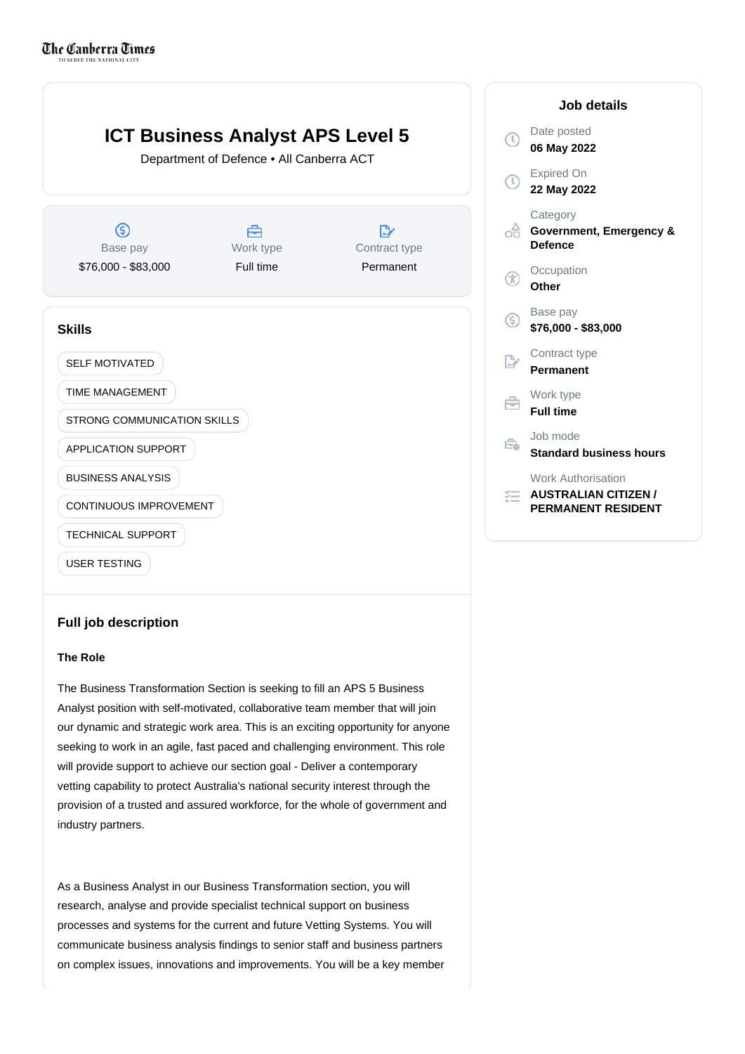

## **Full job description**

## **The Role**

The Business Transformation Section is seeking to fill an APS 5 Business Analyst position with self-motivated, collaborative team member that will join our dynamic and strategic work area. This is an exciting opportunity for anyone seeking to work in an agile, fast paced and challenging environment. This role will provide support to achieve our section goal - Deliver a contemporary vetting capability to protect Australia's national security interest through the provision of a trusted and assured workforce, for the whole of government and industry partners.

As a Business Analyst in our Business Transformation section, you will research, analyse and provide specialist technical support on business processes and systems for the current and future Vetting Systems. You will communicate business analysis findings to senior staff and business partners on complex issues, innovations and improvements. You will be a key member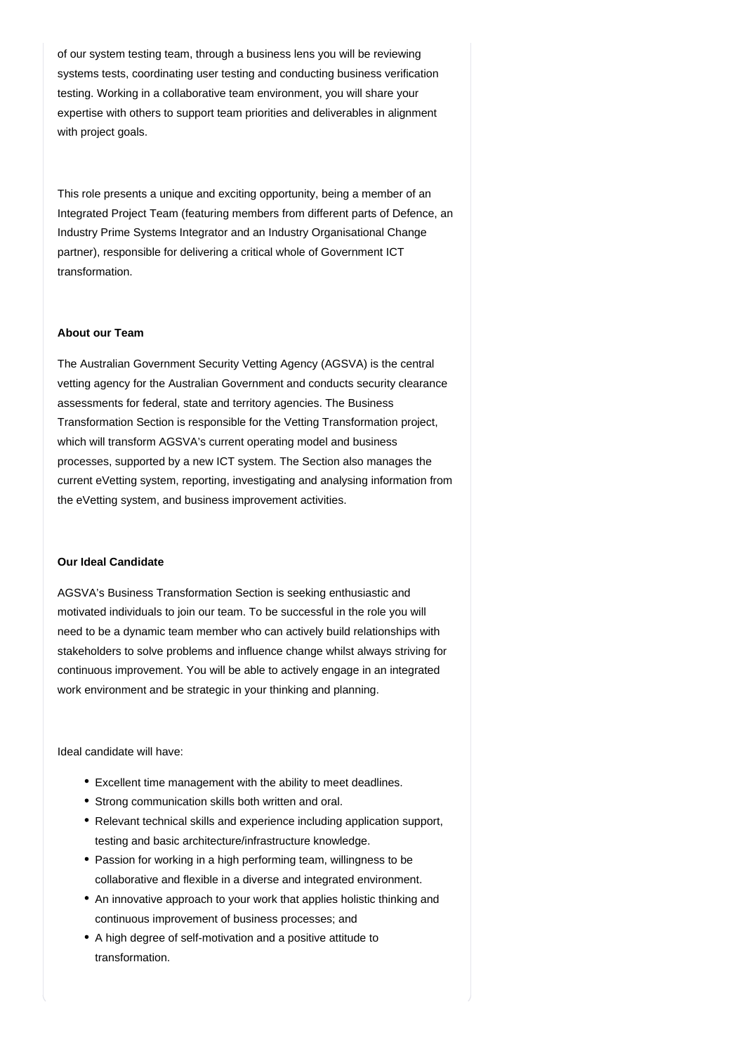of our system testing team, through a business lens you will be reviewing systems tests, coordinating user testing and conducting business verification testing. Working in a collaborative team environment, you will share your expertise with others to support team priorities and deliverables in alignment with project goals.

This role presents a unique and exciting opportunity, being a member of an Integrated Project Team (featuring members from different parts of Defence, an Industry Prime Systems Integrator and an Industry Organisational Change partner), responsible for delivering a critical whole of Government ICT transformation.

## **About our Team**

The Australian Government Security Vetting Agency (AGSVA) is the central vetting agency for the Australian Government and conducts security clearance assessments for federal, state and territory agencies. The Business Transformation Section is responsible for the Vetting Transformation project, which will transform AGSVA's current operating model and business processes, supported by a new ICT system. The Section also manages the current eVetting system, reporting, investigating and analysing information from the eVetting system, and business improvement activities.

## **Our Ideal Candidate**

AGSVA's Business Transformation Section is seeking enthusiastic and motivated individuals to join our team. To be successful in the role you will need to be a dynamic team member who can actively build relationships with stakeholders to solve problems and influence change whilst always striving for continuous improvement. You will be able to actively engage in an integrated work environment and be strategic in your thinking and planning.

Ideal candidate will have:

- Excellent time management with the ability to meet deadlines.
- Strong communication skills both written and oral.
- Relevant technical skills and experience including application support, testing and basic architecture/infrastructure knowledge.
- Passion for working in a high performing team, willingness to be collaborative and flexible in a diverse and integrated environment.
- An innovative approach to your work that applies holistic thinking and continuous improvement of business processes; and
- A high degree of self-motivation and a positive attitude to transformation.